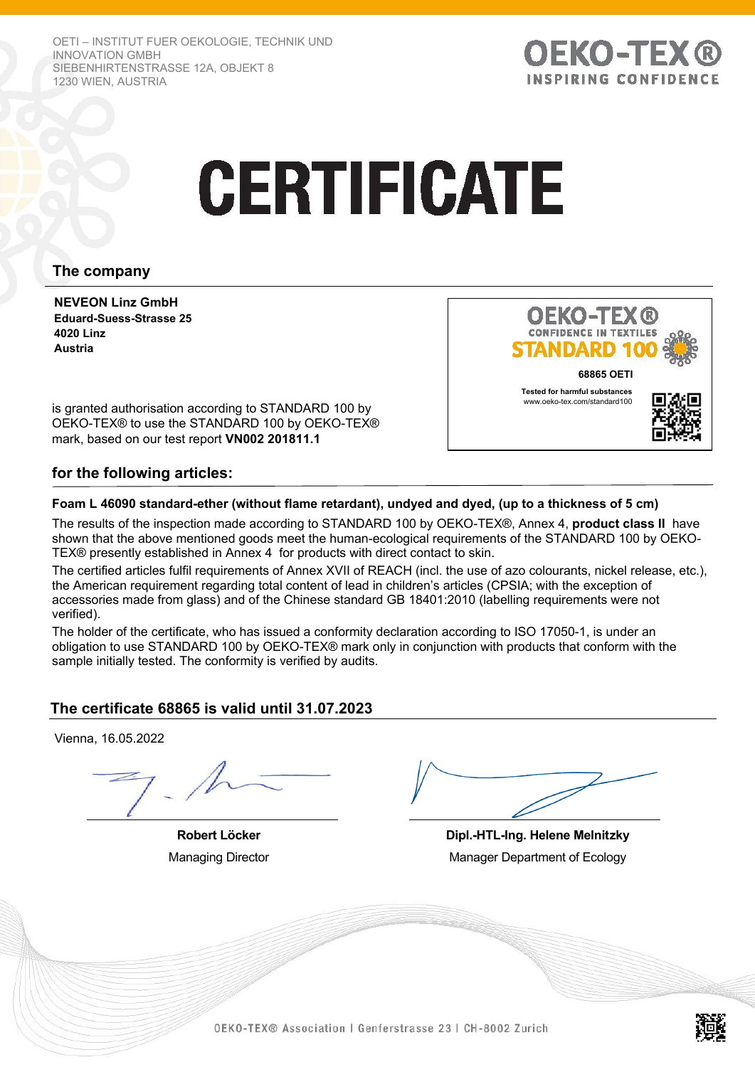OETI – INSTITUT FUER OEKOLOGIE, TECHNIK UND INNOVATION GMBH SIEBENHIRTENSTRASSE 12A, OBJEKT 8 1230 WIEN, AUSTRIA



# **CERTIFICATE**

# **The company**

**NEVEON Linz GmbH Eduard-Suess-Strasse 25 4020 Linz Austria**



is granted authorisation according to STANDARD 100 by OEKO-TEX® to use the STANDARD 100 by OEKO-TEX® mark, based on our test report **VN002 201811.1** 

## **for the following articles:**

### **Foam L 46090 standard-ether (without flame retardant), undyed and dyed, (up to a thickness of 5 cm)**

The results of the inspection made according to STANDARD 100 by OEKO-TEX®, Annex 4, **product class II** have shown that the above mentioned goods meet the human-ecological requirements of the STANDARD 100 by OEKO-TEX® presently established in Annex 4 for products with direct contact to skin.

The certified articles fulfil requirements of Annex XVII of REACH (incl. the use of azo colourants, nickel release, etc.), the American requirement regarding total content of lead in children's articles (CPSIA; with the exception of accessories made from glass) and of the Chinese standard GB 18401:2010 (labelling requirements were not verified).

The holder of the certificate, who has issued a conformity declaration according to ISO 17050-1, is under an obligation to use STANDARD 100 by OEKO-TEX® mark only in conjunction with products that conform with the sample initially tested. The conformity is verified by audits.

## **The certificate 68865 is valid until 31.07.2023**

Vienna, 16.05.2022

**Robert Löcker** Managing Director

**Dipl.-HTL-Ing. Helene Melnitzky** Manager Department of Ecology